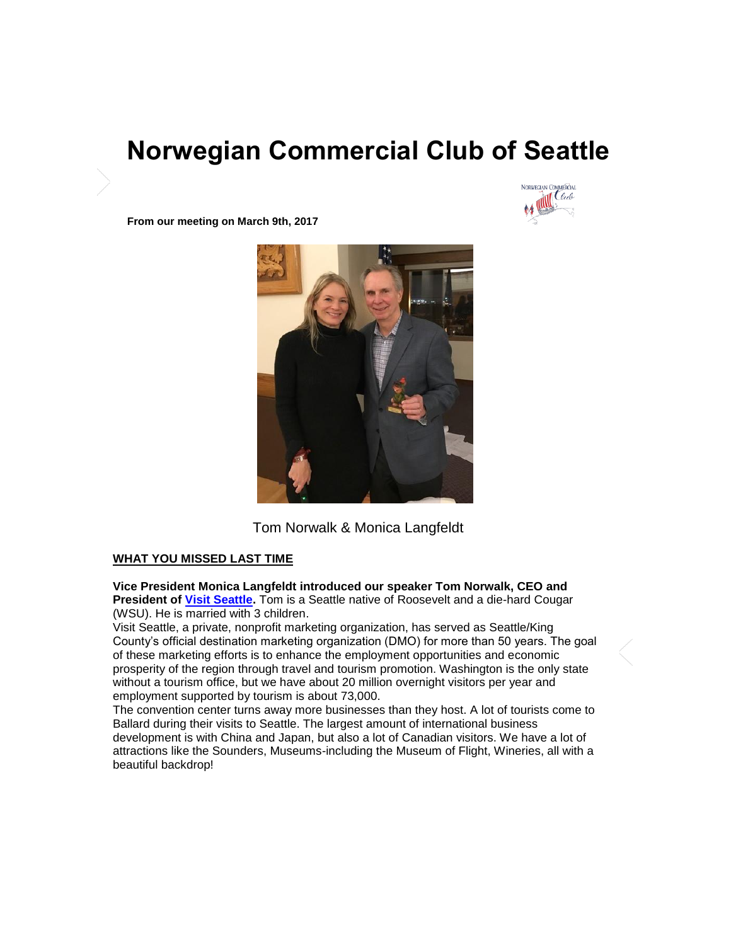# **Norwegian Commercial Club of Seattle**



**From our meeting on March 9th, 2017** 



Tom Norwalk & Monica Langfeldt

# **WHAT YOU MISSED LAST TIME**

**Vice President Monica Langfeldt introduced our speaker Tom Norwalk, CEO and President of [Visit Seattle.](http://www.visitseattle.org/)** Tom is a Seattle native of Roosevelt and a die-hard Cougar (WSU). He is married with 3 children.

Visit Seattle, a private, nonprofit marketing organization, has served as Seattle/King County's official destination marketing organization (DMO) for more than 50 years. The goal of these marketing efforts is to enhance the employment opportunities and economic prosperity of the region through travel and tourism promotion. Washington is the only state without a tourism office, but we have about 20 million overnight visitors per year and employment supported by tourism is about 73,000.

The convention center turns away more businesses than they host. A lot of tourists come to Ballard during their visits to Seattle. The largest amount of international business development is with China and Japan, but also a lot of Canadian visitors. We have a lot of attractions like the Sounders, Museums-including the Museum of Flight, Wineries, all with a beautiful backdrop!